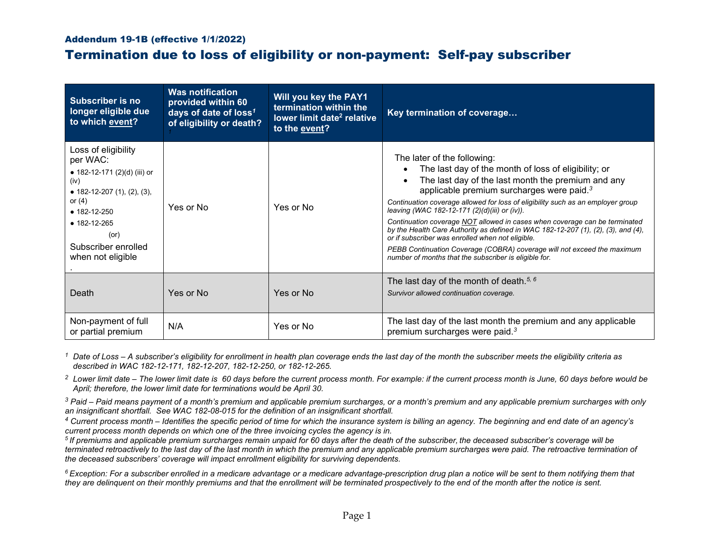## Addendum 19-1B (effective 1/1/2022)

## Termination due to loss of eligibility or non-payment: Self-pay subscriber

| <b>Subscriber is no</b><br>longer eligible due<br>to which event?                                                                                                                                                    | <b>Was notification</b><br>provided within 60<br>days of date of loss <sup>1</sup><br>of eligibility or death? | Will you key the PAY1<br>termination within the<br>lower limit date <sup>2</sup> relative<br>to the event? | Key termination of coverage                                                                                                                                                                                                                                                                                                                                                                                                                                                                                                                                                                                                                                                                                   |
|----------------------------------------------------------------------------------------------------------------------------------------------------------------------------------------------------------------------|----------------------------------------------------------------------------------------------------------------|------------------------------------------------------------------------------------------------------------|---------------------------------------------------------------------------------------------------------------------------------------------------------------------------------------------------------------------------------------------------------------------------------------------------------------------------------------------------------------------------------------------------------------------------------------------------------------------------------------------------------------------------------------------------------------------------------------------------------------------------------------------------------------------------------------------------------------|
| Loss of eligibility<br>per WAC:<br>● 182-12-171 (2)(d) (iii) or<br>(iv)<br>• 182-12-207 (1), (2), (3),<br>or $(4)$<br>$\bullet$ 182-12-250<br>$• 182 - 12 - 265$<br>(or)<br>Subscriber enrolled<br>when not eligible | Yes or No                                                                                                      | Yes or No                                                                                                  | The later of the following:<br>The last day of the month of loss of eligibility; or<br>The last day of the last month the premium and any<br>applicable premium surcharges were paid. <sup>3</sup><br>Continuation coverage allowed for loss of eligibility such as an employer group<br>leaving (WAC 182-12-171 (2)(d)(iii) or (iv)).<br>Continuation coverage NOT allowed in cases when coverage can be terminated<br>by the Health Care Authority as defined in WAC 182-12-207 $(1)$ , $(2)$ , $(3)$ , and $(4)$ ,<br>or if subscriber was enrolled when not eligible.<br>PEBB Continuation Coverage (COBRA) coverage will not exceed the maximum<br>number of months that the subscriber is eligible for. |
| Death                                                                                                                                                                                                                | Yes or No                                                                                                      | Yes or No                                                                                                  | The last day of the month of death. <sup>5, 6</sup><br>Survivor allowed continuation coverage.                                                                                                                                                                                                                                                                                                                                                                                                                                                                                                                                                                                                                |
| Non-payment of full<br>or partial premium                                                                                                                                                                            | N/A                                                                                                            | Yes or No                                                                                                  | The last day of the last month the premium and any applicable<br>premium surcharges were paid. <sup>3</sup>                                                                                                                                                                                                                                                                                                                                                                                                                                                                                                                                                                                                   |

*<sup>1</sup> Date of Loss – A subscriber's eligibility for enrollment in health plan coverage ends the last day of the month the subscriber meets the eligibility criteria as described in WAC 182-12-171, 182-12-207, 182-12-250, or 182-12-265.*

*<sup>2</sup> Lower limit date – The lower limit date is 60 days before the current process month. For example: if the current process month is June, 60 days before would be April; therefore, the lower limit date for terminations would be April 30.*

*<sup>3</sup> Paid – Paid means payment of a month's premium and applicable premium surcharges, or a month's premium and any applicable premium surcharges with only an insignificant shortfall. See WAC 182-08-015 for the definition of an insignificant shortfall.*

*<sup>4</sup> Current process month – Identifies the specific period of time for which the insurance system is billing an agency. The beginning and end date of an agency's current process month depends on which one of the three invoicing cycles the agency is in.*

*<sup>5</sup> If premiums and applicable premium surcharges remain unpaid for 60 days after the death of the subscriber, the deceased subscriber's coverage will be terminated retroactively to the last day of the last month in which the premium and any applicable premium surcharges were paid. The retroactive termination of the deceased subscribers' coverage will impact enrollment eligibility for surviving dependents.*

*6 Exception: For a subscriber enrolled in a medicare advantage or a medicare advantage-prescription drug plan a notice will be sent to them notifying them that they are delinquent on their monthly premiums and that the enrollment will be terminated prospectively to the end of the month after the notice is sent.*